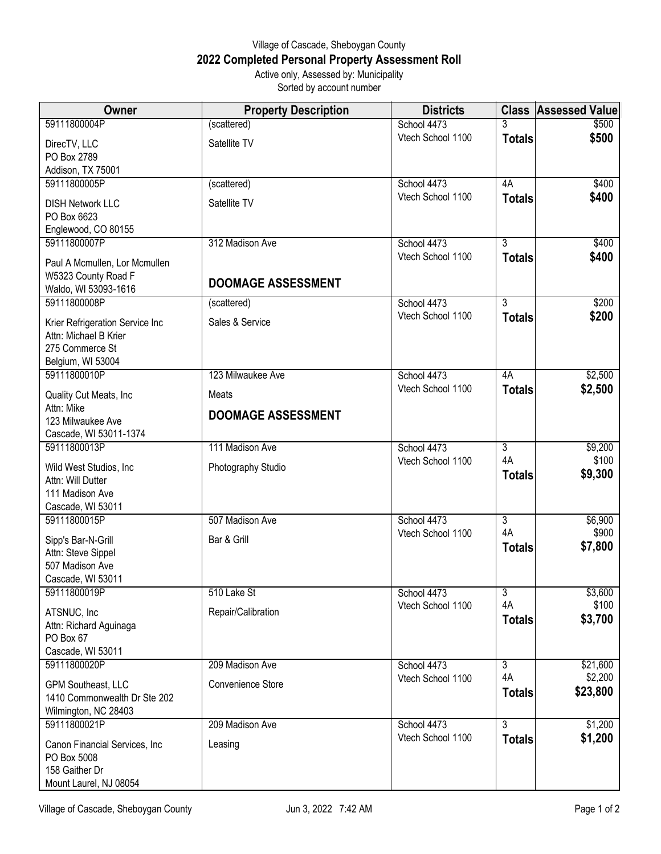## Village of Cascade, Sheboygan County **2022 Completed Personal Property Assessment Roll** Active only, Assessed by: Municipality

Sorted by account number

| Owner                                                                                            | <b>Property Description</b> | <b>Districts</b>  |                     | <b>Class Assessed Value</b> |
|--------------------------------------------------------------------------------------------------|-----------------------------|-------------------|---------------------|-----------------------------|
| 59111800004P                                                                                     | (scattered)                 | School 4473       |                     | \$500                       |
| DirecTV, LLC<br>PO Box 2789                                                                      | Satellite TV                | Vtech School 1100 | <b>Totals</b>       | \$500                       |
| Addison, TX 75001                                                                                |                             |                   |                     |                             |
| 59111800005P                                                                                     | (scattered)                 | School 4473       | 4A                  | \$400                       |
| <b>DISH Network LLC</b><br>PO Box 6623                                                           | Satellite TV                | Vtech School 1100 | <b>Totals</b>       | \$400                       |
| Englewood, CO 80155<br>59111800007P                                                              | 312 Madison Ave             | School 4473       | $\overline{3}$      | \$400                       |
|                                                                                                  |                             | Vtech School 1100 | <b>Totals</b>       | \$400                       |
| Paul A Mcmullen, Lor Mcmullen<br>W5323 County Road F<br>Waldo, WI 53093-1616                     | <b>DOOMAGE ASSESSMENT</b>   |                   |                     |                             |
| 59111800008P                                                                                     | (scattered)                 | School 4473       | $\overline{3}$      | \$200                       |
| Krier Refrigeration Service Inc<br>Attn: Michael B Krier<br>275 Commerce St<br>Belgium, WI 53004 | Sales & Service             | Vtech School 1100 | <b>Totals</b>       | \$200                       |
| 59111800010P                                                                                     | 123 Milwaukee Ave           | School 4473       | 4A                  | \$2,500                     |
| Quality Cut Meats, Inc                                                                           | Meats                       | Vtech School 1100 | <b>Totals</b>       | \$2,500                     |
| Attn: Mike<br>123 Milwaukee Ave<br>Cascade, WI 53011-1374                                        | <b>DOOMAGE ASSESSMENT</b>   |                   |                     |                             |
| 59111800013P                                                                                     | 111 Madison Ave             | School 4473       | $\overline{3}$      | \$9,200                     |
| Wild West Studios, Inc<br>Attn: Will Dutter<br>111 Madison Ave<br>Cascade, WI 53011              | Photography Studio          | Vtech School 1100 | 4A<br><b>Totals</b> | \$100<br>\$9,300            |
| 59111800015P                                                                                     | 507 Madison Ave             | School 4473       | $\overline{3}$      | \$6,900                     |
| Sipp's Bar-N-Grill<br>Attn: Steve Sippel<br>507 Madison Ave<br>Cascade, WI 53011                 | Bar & Grill                 | Vtech School 1100 | 4A<br><b>Totals</b> | \$900<br>\$7,800            |
| 59111800019P                                                                                     | 510 Lake St                 | School 4473       | $\overline{3}$      | \$3,600                     |
| ATSNUC, Inc<br>Attn: Richard Aguinaga<br>PO Box 67<br>Cascade, WI 53011                          | Repair/Calibration          | Vtech School 1100 | 4A<br><b>Totals</b> | \$100<br>\$3,700            |
| 59111800020P                                                                                     | 209 Madison Ave             | School 4473       | $\overline{3}$      | \$21,600                    |
| GPM Southeast, LLC<br>1410 Commonwealth Dr Ste 202<br>Wilmington, NC 28403                       | Convenience Store           | Vtech School 1100 | 4A<br><b>Totals</b> | \$2,200<br>\$23,800         |
| 59111800021P                                                                                     | 209 Madison Ave             | School 4473       | 3                   | \$1,200                     |
| Canon Financial Services, Inc.<br>PO Box 5008<br>158 Gaither Dr<br>Mount Laurel, NJ 08054        | Leasing                     | Vtech School 1100 | <b>Totals</b>       | \$1,200                     |